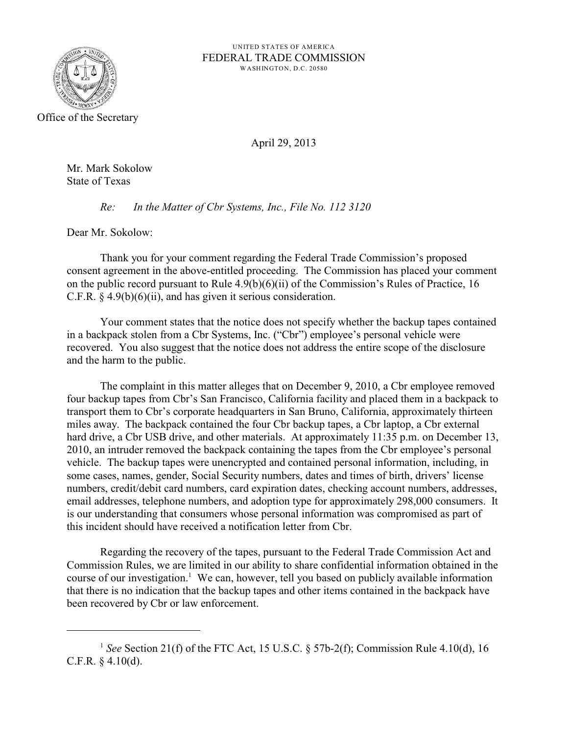

UNITED STATES OF AMERICA FEDERAL TRADE COMMISSION WASHINGTON, D.C. 20580

April 29, 2013

Mr. Mark Sokolow State of Texas

*Re: In the Matter of Cbr Systems, Inc., File No. 112 3120*

Dear Mr. Sokolow:

Thank you for your comment regarding the Federal Trade Commission's proposed consent agreement in the above-entitled proceeding. The Commission has placed your comment on the public record pursuant to Rule 4.9(b)(6)(ii) of the Commission's Rules of Practice, 16 C.F.R.  $\S$  4.9(b)(6)(ii), and has given it serious consideration.

Your comment states that the notice does not specify whether the backup tapes contained in a backpack stolen from a Cbr Systems, Inc. ("Cbr") employee's personal vehicle were recovered. You also suggest that the notice does not address the entire scope of the disclosure and the harm to the public.

The complaint in this matter alleges that on December 9, 2010, a Cbr employee removed four backup tapes from Cbr's San Francisco, California facility and placed them in a backpack to transport them to Cbr's corporate headquarters in San Bruno, California, approximately thirteen miles away. The backpack contained the four Cbr backup tapes, a Cbr laptop, a Cbr external hard drive, a Cbr USB drive, and other materials. At approximately 11:35 p.m. on December 13, 2010, an intruder removed the backpack containing the tapes from the Cbr employee's personal vehicle. The backup tapes were unencrypted and contained personal information, including, in some cases, names, gender, Social Security numbers, dates and times of birth, drivers' license numbers, credit/debit card numbers, card expiration dates, checking account numbers, addresses, email addresses, telephone numbers, and adoption type for approximately 298,000 consumers. It is our understanding that consumers whose personal information was compromised as part of this incident should have received a notification letter from Cbr.

Regarding the recovery of the tapes, pursuant to the Federal Trade Commission Act and Commission Rules, we are limited in our ability to share confidential information obtained in the course of our investigation.<sup>1</sup> We can, however, tell you based on publicly available information that there is no indication that the backup tapes and other items contained in the backpack have been recovered by Cbr or law enforcement.

<sup>&</sup>lt;sup>1</sup> See Section 21(f) of the FTC Act, 15 U.S.C.  $\S$  57b-2(f); Commission Rule 4.10(d), 16 C.F.R.  $§$  4.10(d).